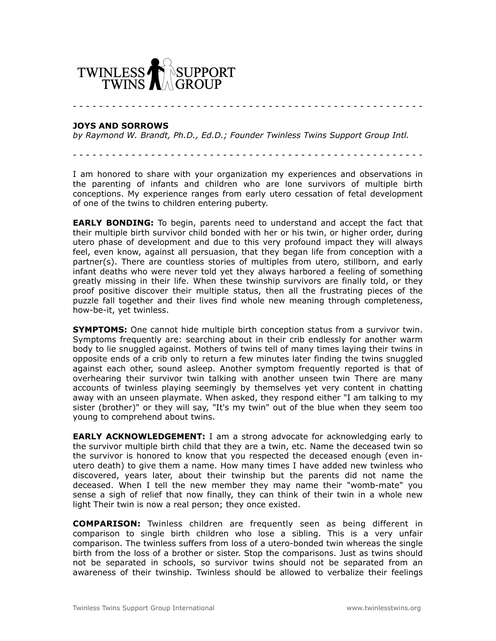

- - - - - - - - - - - - - - - - - - - - - - - - - - - - - - - - - - - - - - - - - - - - - - - - - - - - - -

## **JOYS AND SORROWS**

*by Raymond W. Brandt, Ph.D., Ed.D.; Founder Twinless Twins Support Group Intl.*

- - - - - - - - - - - - - - - - - - - - - - - - - - - - - - - - - - - - - - - - - - - - - - - - - - - - - -

I am honored to share with your organization my experiences and observations in the parenting of infants and children who are lone survivors of multiple birth conceptions. My experience ranges from early utero cessation of fetal development of one of the twins to children entering puberty.

**EARLY BONDING:** To begin, parents need to understand and accept the fact that their multiple birth survivor child bonded with her or his twin, or higher order, during utero phase of development and due to this very profound impact they will always feel, even know, against all persuasion, that they began life from conception with a partner(s). There are countless stories of multiples from utero, stillborn, and early infant deaths who were never told yet they always harbored a feeling of something greatly missing in their life. When these twinship survivors are finally told, or they proof positive discover their multiple status, then all the frustrating pieces of the puzzle fall together and their lives find whole new meaning through completeness, how-be-it, yet twinless.

**SYMPTOMS:** One cannot hide multiple birth conception status from a survivor twin. Symptoms frequently are: searching about in their crib endlessly for another warm body to lie snuggled against. Mothers of twins tell of many times laying their twins in opposite ends of a crib only to return a few minutes later finding the twins snuggled against each other, sound asleep. Another symptom frequently reported is that of overhearing their survivor twin talking with another unseen twin There are many accounts of twinless playing seemingly by themselves yet very content in chatting away with an unseen playmate. When asked, they respond either "I am talking to my sister (brother)" or they will say, "It's my twin" out of the blue when they seem too young to comprehend about twins.

**EARLY ACKNOWLEDGEMENT:** I am a strong advocate for acknowledging early to the survivor multiple birth child that they are a twin, etc. Name the deceased twin so the survivor is honored to know that you respected the deceased enough (even inutero death) to give them a name. How many times I have added new twinless who discovered, years later, about their twinship but the parents did not name the deceased. When I tell the new member they may name their "womb-mate" you sense a sigh of relief that now finally, they can think of their twin in a whole new light Their twin is now a real person; they once existed.

**COMPARISON:** Twinless children are frequently seen as being different in comparison to single birth children who lose a sibling. This is a very unfair comparison. The twinless suffers from loss of a utero-bonded twin whereas the single birth from the loss of a brother or sister. Stop the comparisons. Just as twins should not be separated in schools, so survivor twins should not be separated from an awareness of their twinship. Twinless should be allowed to verbalize their feelings